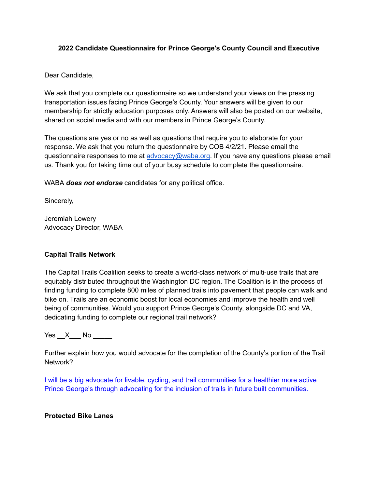#### **2022 Candidate Questionnaire for Prince George's County Council and Executive**

Dear Candidate,

We ask that you complete our questionnaire so we understand your views on the pressing transportation issues facing Prince George's County. Your answers will be given to our membership for strictly education purposes only. Answers will also be posted on our website, shared on social media and with our members in Prince George's County.

The questions are yes or no as well as questions that require you to elaborate for your response. We ask that you return the questionnaire by COB 4/2/21. Please email the questionnaire responses to me at [advocacy@waba.org](mailto:advocacy@waba.org). If you have any questions please email us. Thank you for taking time out of your busy schedule to complete the questionnaire.

WABA *does not endorse* candidates for any political office.

Sincerely,

Jeremiah Lowery Advocacy Director, WABA

#### **Capital Trails Network**

The Capital Trails Coalition seeks to create a world-class network of multi-use trails that are equitably distributed throughout the Washington DC region. The Coalition is in the process of finding funding to complete 800 miles of planned trails into pavement that people can walk and bike on. Trails are an economic boost for local economies and improve the health and well being of communities. Would you support Prince George's County, alongside DC and VA, dedicating funding to complete our regional trail network?

 $Yes \_ X \_ No \_$ 

Further explain how you would advocate for the completion of the County's portion of the Trail Network?

I will be a big advocate for livable, cycling, and trail communities for a healthier more active Prince George's through advocating for the inclusion of trails in future built communities.

#### **Protected Bike Lanes**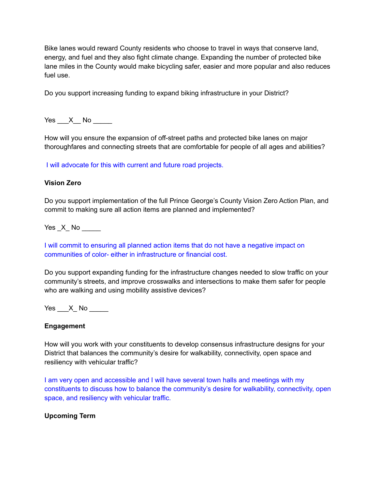Bike lanes would reward County residents who choose to travel in ways that conserve land, energy, and fuel and they also fight climate change. Expanding the number of protected bike lane miles in the County would make bicycling safer, easier and more popular and also reduces fuel use.

Do you support increasing funding to expand biking infrastructure in your District?

Yes X No  $\blacksquare$ 

How will you ensure the expansion of off-street paths and protected bike lanes on major thoroughfares and connecting streets that are comfortable for people of all ages and abilities?

I will advocate for this with current and future road projects.

### **Vision Zero**

Do you support implementation of the full Prince George's County Vision Zero Action Plan, and commit to making sure all action items are planned and implemented?

Yes \_X\_ No \_\_\_\_\_

I will commit to ensuring all planned action items that do not have a negative impact on communities of color- either in infrastructure or financial cost.

Do you support expanding funding for the infrastructure changes needed to slow traffic on your community's streets, and improve crosswalks and intersections to make them safer for people who are walking and using mobility assistive devices?

 $Yes$   $X$   $No$   $\qquad \qquad$ 

#### **Engagement**

How will you work with your constituents to develop consensus infrastructure designs for your District that balances the community's desire for walkability, connectivity, open space and resiliency with vehicular traffic?

I am very open and accessible and I will have several town halls and meetings with my constituents to discuss how to balance the community's desire for walkability, connectivity, open space, and resiliency with vehicular traffic.

#### **Upcoming Term**